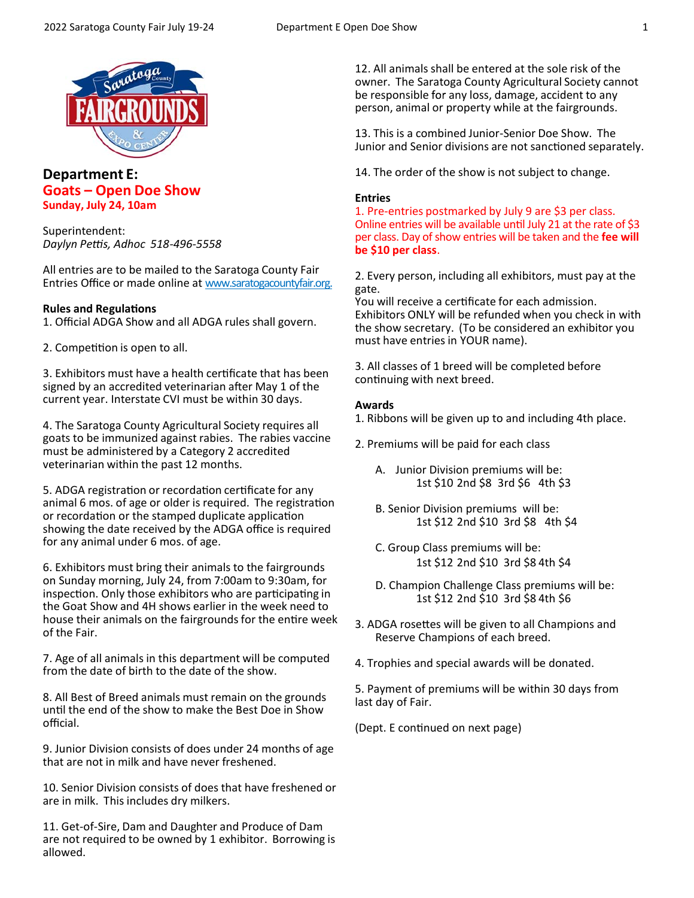

# **Department E: Goats – Open Doe Show Sunday, July 24, 10am**

Superintendent: *Daylyn Peƫs, Adhoc 518‐496‐5558*

All entries are to be mailed to the Saratoga County Fair Entries Office or made online at www.saratogacountyfair.org.

## **Rules and RegulaƟons**

1. Official ADGA Show and all ADGA rules shall govern.

2. Competition is open to all.

3. Exhibitors must have a health certificate that has been signed by an accredited veterinarian after May 1 of the current year. Interstate CVI must be within 30 days.

4. The Saratoga County Agricultural Society requires all goats to be immunized against rabies. The rabies vaccine must be administered by a Category 2 accredited veterinarian within the past 12 months.

5. ADGA registration or recordation certificate for any animal 6 mos. of age or older is required. The registration or recordation or the stamped duplicate application showing the date received by the ADGA office is required for any animal under 6 mos. of age.

6. Exhibitors must bring their animals to the fairgrounds on Sunday morning, July 24, from 7:00am to 9:30am, for inspection. Only those exhibitors who are participating in the Goat Show and 4H shows earlier in the week need to house their animals on the fairgrounds for the entire week of the Fair.

7. Age of all animals in this department will be computed from the date of birth to the date of the show.

8. All Best of Breed animals must remain on the grounds until the end of the show to make the Best Doe in Show official.

9. Junior Division consists of does under 24 months of age that are not in milk and have never freshened.

10. Senior Division consists of does that have freshened or are in milk. This includes dry milkers.

11. Get‐of‐Sire, Dam and Daughter and Produce of Dam are not required to be owned by 1 exhibitor. Borrowing is allowed.

12. All animals shall be entered at the sole risk of the owner. The Saratoga County Agricultural Society cannot be responsible for any loss, damage, accident to any person, animal or property while at the fairgrounds.

13. This is a combined Junior‐Senior Doe Show. The Junior and Senior divisions are not sanctioned separately.

14. The order of the show is not subject to change.

## **Entries**

1. Pre-entries postmarked by July 9 are \$3 per class. Online entries will be available until July 21 at the rate of \$3 per class. Day of show entries will be taken and the **fee will be \$10 per class**.

2. Every person, including all exhibitors, must pay at the gate.

You will receive a certificate for each admission. Exhibitors ONLY will be refunded when you check in with the show secretary. (To be considered an exhibitor you must have entries in YOUR name).

3. All classes of 1 breed will be completed before continuing with next breed.

## **Awards**

1. Ribbons will be given up to and including 4th place.

- 2. Premiums will be paid for each class
	- A. Junior Division premiums will be: 1st \$10 2nd \$8 3rd \$6 4th \$3
	- B. Senior Division premiums will be: 1st \$12 2nd \$10 3rd \$8 4th \$4
	- C. Group Class premiums will be: 1st \$12 2nd \$10 3rd \$8 4th \$4
	- D. Champion Challenge Class premiums will be: 1st \$12 2nd \$10 3rd \$8 4th \$6
- 3. ADGA rosettes will be given to all Champions and Reserve Champions of each breed.
- 4. Trophies and special awards will be donated.

5. Payment of premiums will be within 30 days from last day of Fair.

(Dept. E continued on next page)